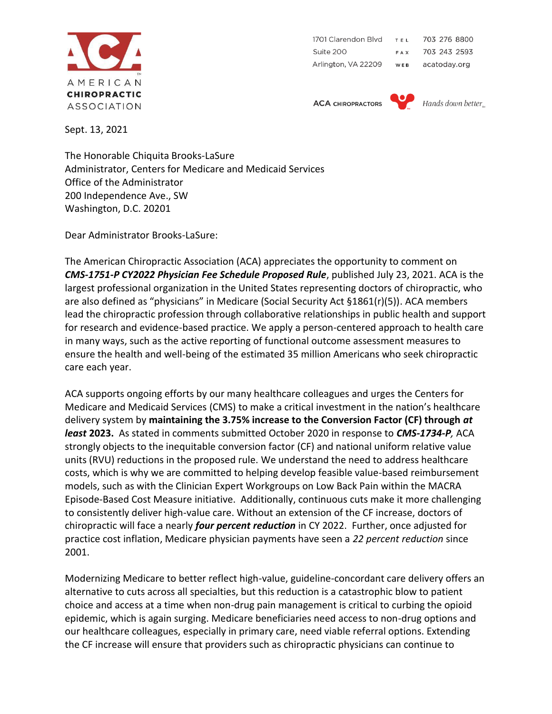

1701 Clarendon Blvd 703 276 8800  $T \in \mathbb{R}$ Suite 200 703 243 2593 FAX Arlington, VA 22209 acatoday.org WEB

**ACA CHIROPRACTORS** 



Hands down better<sub>w</sub>

Sept. 13, 2021

The Honorable Chiquita Brooks-LaSure Administrator, Centers for Medicare and Medicaid Services Office of the Administrator 200 Independence Ave., SW Washington, D.C. 20201

Dear Administrator Brooks-LaSure:

The American Chiropractic Association (ACA) appreciates the opportunity to comment on *CMS-1751-P CY2022 Physician Fee Schedule Proposed Rule*, published July 23, 2021. ACA is the largest professional organization in the United States representing doctors of chiropractic, who are also defined as "physicians" in Medicare (Social Security Act §1861(r)(5)). ACA members lead the chiropractic profession through collaborative relationships in public health and support for research and evidence-based practice. We apply a person-centered approach to health care in many ways, such as the active reporting of functional outcome assessment measures to ensure the health and well-being of the estimated 35 million Americans who seek chiropractic care each year.

ACA supports ongoing efforts by our many healthcare colleagues and urges the Centers for Medicare and Medicaid Services (CMS) to make a critical investment in the nation's healthcare delivery system by **maintaining the 3.75% increase to the Conversion Factor (CF) through** *at least* **2023.** As stated in comments submitted October 2020 in response to *CMS-1734-P,* ACA strongly objects to the inequitable conversion factor (CF) and national uniform relative value units (RVU) reductions in the proposed rule. We understand the need to address healthcare costs, which is why we are committed to helping develop feasible value-based reimbursement models, such as with the Clinician Expert Workgroups on Low Back Pain within the MACRA Episode-Based Cost Measure initiative. Additionally, continuous cuts make it more challenging to consistently deliver high-value care. Without an extension of the CF increase, doctors of chiropractic will face a nearly *four percent reduction* in CY 2022. Further, once adjusted for practice cost inflation, Medicare physician payments have seen a *22 percent reduction* since 2001.

Modernizing Medicare to better reflect high-value, guideline-concordant care delivery offers an alternative to cuts across all specialties, but this reduction is a catastrophic blow to patient choice and access at a time when non-drug pain management is critical to curbing the opioid epidemic, which is again surging. Medicare beneficiaries need access to non-drug options and our healthcare colleagues, especially in primary care, need viable referral options. Extending the CF increase will ensure that providers such as chiropractic physicians can continue to